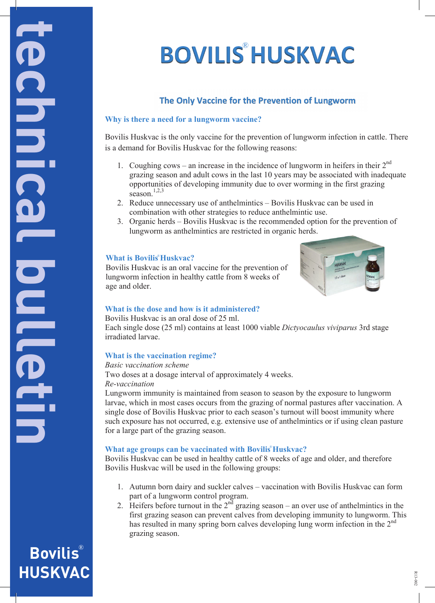# **BOVILIS HUSKVAC** ®

# **The Only Vaccine for the Prevention of Lungworm**

#### **Why is there a need for a lungworm vaccine?**

Bovilis Huskvac is the only vaccine for the prevention of lungworm infection in cattle. There  $\blacksquare$  is a demand for Bovilis Huskvac for the following reasons:

- 1. Coughing cows an increase in the incidence of lungworm in heifers in their  $2<sup>nd</sup>$ I. Coughing cows – an increase in the incidence of lungworm in helters in their 2<br>grazing season and adult cows in the last 10 years may be associated with inadequate opportunities of developing immunity due to over worming in the first grazing season.<sup>1,2,3</sup>
	- $2.$  Reduce unnecessary use of anthelmintics Bovilis Huskvac can be used in  $2.$  Reduce unnecessary use of anthelmintics Bovilis Huskvac can be used in combination with other strategies to reduce anthelmintic use.<br>2. Consented with a Decision Hardway in the maximum behavior for the maximum of
		- 3. Organic herds Bovilis Huskvac is the recommended option for the prevention of For developing in the first gradient is the recommended option for the prevention of lungworm as anthelminties are restricted in organic herds.

1,2,3

Bovilis Huskvac is an oral vaccine for the prevention of  $\frac{1}{2}$  lungworm infection in healthy cattle from 8 weeks of age and older. 3. Organic herds – Bovine Huskvac is the recommended option for the prevention of the prevention of the prevention of the prevention of the prevention for the prevention of the prevention of the prevention of the preventio



## *What is the dose and how is it administered?*

Bovilis Huskvac is an oral dose of 25 ml.

Each single dose (25 ml) contains at least 1000 viable *Dictyocaulus viviparus* 3rd stage irradiated larvae.

#### **What is the vaccination regime? What is Bovilis Huskvac**

**Basic vaccination scheme**<br>
Basic vaccination scheme

Two doses at a dosage interval of approximately 4 weeks.<br>
Be vaccination *Re-vaccination* 

Lungworm immunity is maintained from season to season by the exposure to lungworm larvae, which in most cases occurs from the grazing of normal pastures after vaccination. A single dose of Bovilis Huskvac prior to each season's turnout will boost immunity where such exposure has not occurred, e.g. extensive use of anthelmintics or if using clean pasture **for a large part of the grazing season.** 

# **What age groups can be vaccinated with Bovilis Huskvac?**<br> **Bovilis Huskvac?**

Bovilis Huskvac can be used in healthy cattle of 8 weeks of age and older, and therefore Bovilis Huskvac will be used in the following groups:

single dose of  $B$ ovilis Huskvac prior to each season's turnout will boost immunity will boost immunity will boost immunity where  $\overline{1}$ 

such exposure has not occurred, e.g. extensive use of anthelmintics or if using clean pasture

- 1. Autumn born dairy and suckler calves vaccination with Bovilis Huskvac can form part of a lungworm control program.
- 2. Heifers before turnout in the  $2<sup>nd</sup>$  grazing season an over use of anthelmintics in the first grazing season can prevent calves from developing immunity to lungworm. This has resulted in many spring born calves developing lung worm infection in the 2<sup>nd</sup> grazing season. *Basic vaccination scheme* Two doses at a doses at a doses at a doses at a doses at a doses at a doses  $\frac{1}{2}$  we expect the set of  $\frac{1}{2}$  we expect the set of  $\frac{1}{2}$  we expect the set of  $\frac{1}{2}$  we expect the set of  $\frac{1}{2}$  we expect t

**Bovilis**  $\mathcal{L}$  and season immunity is maintained from season to season by the exposure to season by the exposure to lungworm. larvae, which in most cases occurs from the grazing of normal pastures after vaccination. A **HUSKVAC**

irradiated larvae.

age and older.

**is the place** 

**technical bulletin**